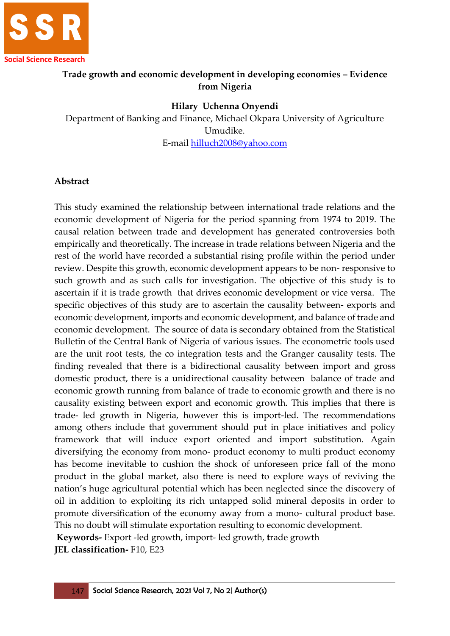

# **Trade growth and economic development in developing economies – Evidence from Nigeria**

#### **Hilary Uchenna Onyendi**

Department of Banking and Finance, Michael Okpara University of Agriculture Umudike. E-mail [hilluch2008@yahoo.com](mailto:hilluch2008@yahoo.com)

#### **Abstract**

This study examined the relationship between international trade relations and the economic development of Nigeria for the period spanning from 1974 to 2019. The causal relation between trade and development has generated controversies both empirically and theoretically. The increase in trade relations between Nigeria and the rest of the world have recorded a substantial rising profile within the period under review. Despite this growth, economic development appears to be non- responsive to such growth and as such calls for investigation. The objective of this study is to ascertain if it is trade growth that drives economic development or vice versa. The specific objectives of this study are to ascertain the causality between- exports and economic development, imports and economic development, and balance of trade and economic development. The source of data is secondary obtained from the Statistical Bulletin of the Central Bank of Nigeria of various issues. The econometric tools used are the unit root tests, the co integration tests and the Granger causality tests. The finding revealed that there is a bidirectional causality between import and gross domestic product, there is a unidirectional causality between balance of trade and economic growth running from balance of trade to economic growth and there is no causality existing between export and economic growth. This implies that there is trade- led growth in Nigeria, however this is import-led. The recommendations among others include that government should put in place initiatives and policy framework that will induce export oriented and import substitution. Again diversifying the economy from mono- product economy to multi product economy has become inevitable to cushion the shock of unforeseen price fall of the mono product in the global market, also there is need to explore ways of reviving the nation's huge agricultural potential which has been neglected since the discovery of oil in addition to exploiting its rich untapped solid mineral deposits in order to promote diversification of the economy away from a mono- cultural product base. This no doubt will stimulate exportation resulting to economic development.

**Keywords-** Export -led growth, import- led growth, **t**rade growth

**JEL classification-** F10, E23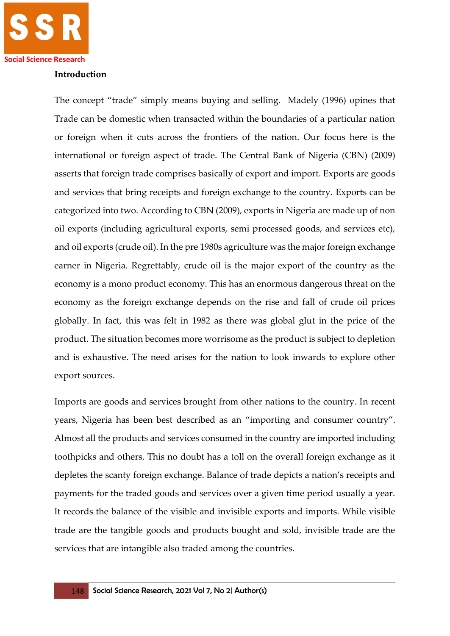#### **Introduction**

The concept "trade" simply means buying and selling. Madely (1996) opines that Trade can be domestic when transacted within the boundaries of a particular nation or foreign when it cuts across the frontiers of the nation. Our focus here is the international or foreign aspect of trade. The Central Bank of Nigeria (CBN) (2009) asserts that foreign trade comprises basically of export and import. Exports are goods and services that bring receipts and foreign exchange to the country. Exports can be categorized into two. According to CBN (2009), exports in Nigeria are made up of non oil exports (including agricultural exports, semi processed goods, and services etc), and oil exports (crude oil). In the pre 1980s agriculture was the major foreign exchange earner in Nigeria. Regrettably, crude oil is the major export of the country as the economy is a mono product economy. This has an enormous dangerous threat on the economy as the foreign exchange depends on the rise and fall of crude oil prices globally. In fact, this was felt in 1982 as there was global glut in the price of the product. The situation becomes more worrisome as the product is subject to depletion and is exhaustive. The need arises for the nation to look inwards to explore other export sources.

Imports are goods and services brought from other nations to the country. In recent years, Nigeria has been best described as an "importing and consumer country". Almost all the products and services consumed in the country are imported including toothpicks and others. This no doubt has a toll on the overall foreign exchange as it depletes the scanty foreign exchange. Balance of trade depicts a nation's receipts and payments for the traded goods and services over a given time period usually a year. It records the balance of the visible and invisible exports and imports. While visible trade are the tangible goods and products bought and sold, invisible trade are the services that are intangible also traded among the countries.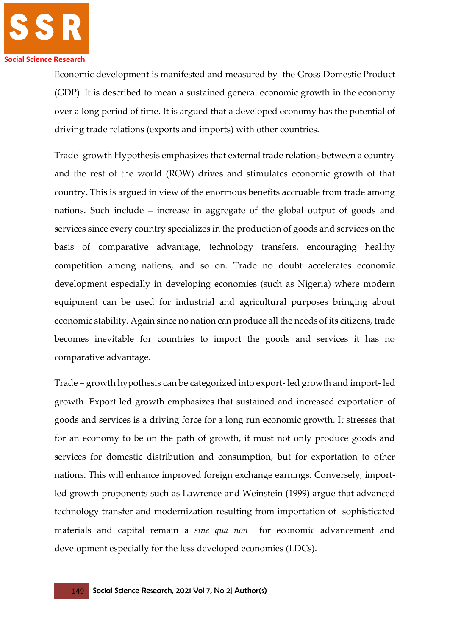

Economic development is manifested and measured by the Gross Domestic Product (GDP). It is described to mean a sustained general economic growth in the economy over a long period of time. It is argued that a developed economy has the potential of driving trade relations (exports and imports) with other countries.

Trade- growth Hypothesis emphasizes that external trade relations between a country and the rest of the world (ROW) drives and stimulates economic growth of that country. This is argued in view of the enormous benefits accruable from trade among nations. Such include – increase in aggregate of the global output of goods and services since every country specializes in the production of goods and services on the basis of comparative advantage, technology transfers, encouraging healthy competition among nations, and so on. Trade no doubt accelerates economic development especially in developing economies (such as Nigeria) where modern equipment can be used for industrial and agricultural purposes bringing about economic stability. Again since no nation can produce all the needs of its citizens, trade becomes inevitable for countries to import the goods and services it has no comparative advantage.

Trade – growth hypothesis can be categorized into export- led growth and import- led growth. Export led growth emphasizes that sustained and increased exportation of goods and services is a driving force for a long run economic growth. It stresses that for an economy to be on the path of growth, it must not only produce goods and services for domestic distribution and consumption, but for exportation to other nations. This will enhance improved foreign exchange earnings. Conversely, importled growth proponents such as Lawrence and Weinstein (1999) argue that advanced technology transfer and modernization resulting from importation of sophisticated materials and capital remain a *sine qua non* for economic advancement and development especially for the less developed economies (LDCs).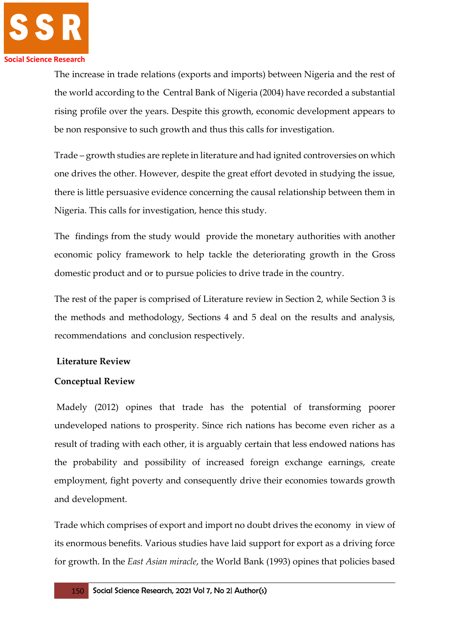

The increase in trade relations (exports and imports) between Nigeria and the rest of the world according to the Central Bank of Nigeria (2004) have recorded a substantial rising profile over the years. Despite this growth, economic development appears to be non responsive to such growth and thus this calls for investigation.

Trade – growth studies are replete in literature and had ignited controversies on which one drives the other. However, despite the great effort devoted in studying the issue, there is little persuasive evidence concerning the causal relationship between them in Nigeria. This calls for investigation, hence this study.

The findings from the study would provide the monetary authorities with another economic policy framework to help tackle the deteriorating growth in the Gross domestic product and or to pursue policies to drive trade in the country.

The rest of the paper is comprised of Literature review in Section 2, while Section 3 is the methods and methodology, Sections 4 and 5 deal on the results and analysis, recommendations and conclusion respectively.

## **Literature Review**

## **Conceptual Review**

Madely (2012) opines that trade has the potential of transforming poorer undeveloped nations to prosperity. Since rich nations has become even richer as a result of trading with each other, it is arguably certain that less endowed nations has the probability and possibility of increased foreign exchange earnings, create employment, fight poverty and consequently drive their economies towards growth and development.

Trade which comprises of export and import no doubt drives the economy in view of its enormous benefits. Various studies have laid support for export as a driving force for growth. In the *East Asian miracle*, the World Bank (1993) opines that policies based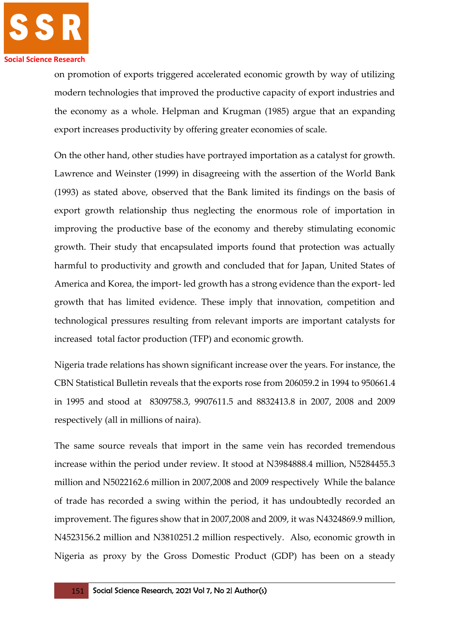

on promotion of exports triggered accelerated economic growth by way of utilizing modern technologies that improved the productive capacity of export industries and the economy as a whole. Helpman and Krugman (1985) argue that an expanding export increases productivity by offering greater economies of scale.

On the other hand, other studies have portrayed importation as a catalyst for growth. Lawrence and Weinster (1999) in disagreeing with the assertion of the World Bank (1993) as stated above, observed that the Bank limited its findings on the basis of export growth relationship thus neglecting the enormous role of importation in improving the productive base of the economy and thereby stimulating economic growth. Their study that encapsulated imports found that protection was actually harmful to productivity and growth and concluded that for Japan, United States of America and Korea, the import- led growth has a strong evidence than the export- led growth that has limited evidence. These imply that innovation, competition and technological pressures resulting from relevant imports are important catalysts for increased total factor production (TFP) and economic growth.

Nigeria trade relations has shown significant increase over the years. For instance, the CBN Statistical Bulletin reveals that the exports rose from 206059.2 in 1994 to 950661.4 in 1995 and stood at 8309758.3, 9907611.5 and 8832413.8 in 2007, 2008 and 2009 respectively (all in millions of naira).

The same source reveals that import in the same vein has recorded tremendous increase within the period under review. It stood at N3984888.4 million, N5284455.3 million and N5022162.6 million in 2007,2008 and 2009 respectively While the balance of trade has recorded a swing within the period, it has undoubtedly recorded an improvement. The figures show that in 2007,2008 and 2009, it was N4324869.9 million, N4523156.2 million and N3810251.2 million respectively. Also, economic growth in Nigeria as proxy by the Gross Domestic Product (GDP) has been on a steady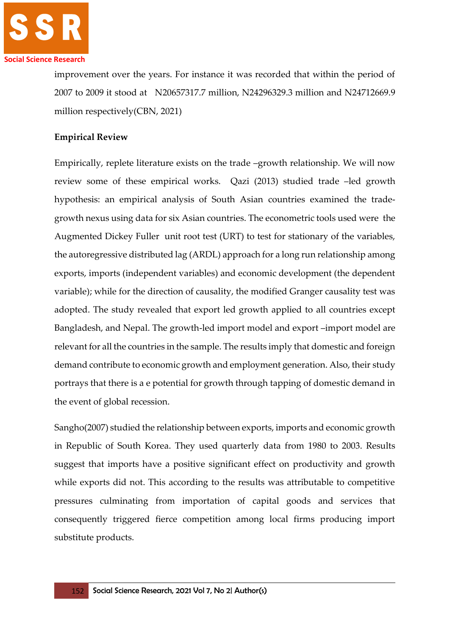

improvement over the years. For instance it was recorded that within the period of 2007 to 2009 it stood at N20657317.7 million, N24296329.3 million and N24712669.9 million respectively(CBN, 2021)

# **Empirical Review**

Empirically, replete literature exists on the trade –growth relationship. We will now review some of these empirical works. Qazi (2013) studied trade –led growth hypothesis: an empirical analysis of South Asian countries examined the tradegrowth nexus using data for six Asian countries. The econometric tools used were the Augmented Dickey Fuller unit root test (URT) to test for stationary of the variables, the autoregressive distributed lag (ARDL) approach for a long run relationship among exports, imports (independent variables) and economic development (the dependent variable); while for the direction of causality, the modified Granger causality test was adopted. The study revealed that export led growth applied to all countries except Bangladesh, and Nepal. The growth-led import model and export –import model are relevant for all the countries in the sample. The results imply that domestic and foreign demand contribute to economic growth and employment generation. Also, their study portrays that there is a e potential for growth through tapping of domestic demand in the event of global recession.

Sangho(2007) studied the relationship between exports, imports and economic growth in Republic of South Korea. They used quarterly data from 1980 to 2003. Results suggest that imports have a positive significant effect on productivity and growth while exports did not. This according to the results was attributable to competitive pressures culminating from importation of capital goods and services that consequently triggered fierce competition among local firms producing import substitute products.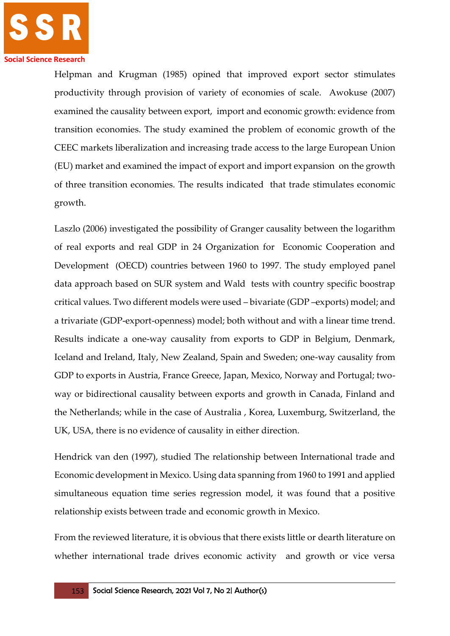

Helpman and Krugman (1985) opined that improved export sector stimulates productivity through provision of variety of economies of scale. Awokuse (2007) examined the causality between export, import and economic growth: evidence from transition economies. The study examined the problem of economic growth of the CEEC markets liberalization and increasing trade access to the large European Union (EU) market and examined the impact of export and import expansion on the growth of three transition economies. The results indicated that trade stimulates economic growth.

Laszlo (2006) investigated the possibility of Granger causality between the logarithm of real exports and real GDP in 24 Organization for Economic Cooperation and Development (OECD) countries between 1960 to 1997. The study employed panel data approach based on SUR system and Wald tests with country specific boostrap critical values. Two different models were used – bivariate (GDP –exports) model; and a trivariate (GDP-export-openness) model; both without and with a linear time trend. Results indicate a one-way causality from exports to GDP in Belgium, Denmark, Iceland and Ireland, Italy, New Zealand, Spain and Sweden; one-way causality from GDP to exports in Austria, France Greece, Japan, Mexico, Norway and Portugal; twoway or bidirectional causality between exports and growth in Canada, Finland and the Netherlands; while in the case of Australia , Korea, Luxemburg, Switzerland, the UK, USA, there is no evidence of causality in either direction.

Hendrick van den (1997), studied The relationship between International trade and Economic development in Mexico. Using data spanning from 1960 to 1991 and applied simultaneous equation time series regression model, it was found that a positive relationship exists between trade and economic growth in Mexico.

From the reviewed literature, it is obvious that there exists little or dearth literature on whether international trade drives economic activity and growth or vice versa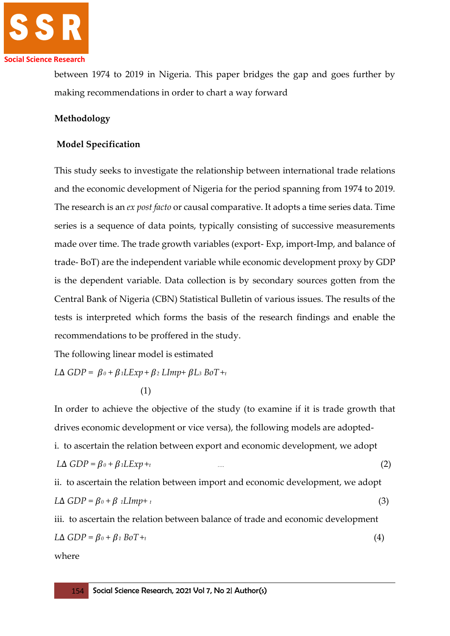

between 1974 to 2019 in Nigeria. This paper bridges the gap and goes further by making recommendations in order to chart a way forward

#### **Methodology**

#### **Model Specification**

This study seeks to investigate the relationship between international trade relations and the economic development of Nigeria for the period spanning from 1974 to 2019*.*  The research is an *ex post facto* or causal comparative. It adopts a time series data. Time series is a sequence of data points, typically consisting of successive measurements made over time. The trade growth variables (export- Exp, import-Imp, and balance of trade- BoT) are the independent variable while economic development proxy by GDP is the dependent variable. Data collection is by secondary sources gotten from the Central Bank of Nigeria (CBN) Statistical Bulletin of various issues. The results of the tests is interpreted which forms the basis of the research findings and enable the recommendations to be proffered in the study.

The following linear model is estimated

 $L\Delta$  *GDP* =  $\beta_0$  +  $\beta_1$ *LExp* +  $\beta_2$ *LImp* +  $\beta$ *L<sub>3</sub> BoT* + *t* 

In order to achieve the objective of the study (to examine if it is trade growth that drives economic development or vice versa), the following models are adoptedi. to ascertain the relation between export and economic development, we adopt  $L\Delta GDP = \beta_0 + \beta_1 LExp + t$  (2) ii. to ascertain the relation between import and economic development, we adopt  $L\Delta GDP = \beta_0 + \beta_1 LImp + t$  (3) iii. to ascertain the relation between balance of trade and economic development  $L\Delta GDP = \beta_0 + \beta_1 B_0T + t$  (4)

where

 <sup>(1)</sup>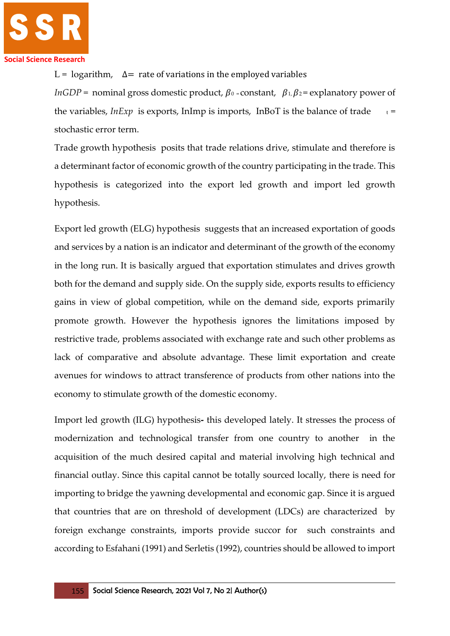

L = logarithm,  $\Delta$  = rate of variations in the employed variables

*InGDP* = nominal gross domestic product,  $\beta_0$  = constant,  $\beta_1$ ,  $\beta_2$  = explanatory power of the variables, *InExp* is exports, InImp is imports, InBoT is the balance of trade  $t =$ stochastic error term.

Trade growth hypothesis posits that trade relations drive, stimulate and therefore is a determinant factor of economic growth of the country participating in the trade. This hypothesis is categorized into the export led growth and import led growth hypothesis.

Export led growth (ELG) hypothesis suggests that an increased exportation of goods and services by a nation is an indicator and determinant of the growth of the economy in the long run. It is basically argued that exportation stimulates and drives growth both for the demand and supply side. On the supply side, exports results to efficiency gains in view of global competition, while on the demand side, exports primarily promote growth. However the hypothesis ignores the limitations imposed by restrictive trade, problems associated with exchange rate and such other problems as lack of comparative and absolute advantage. These limit exportation and create avenues for windows to attract transference of products from other nations into the economy to stimulate growth of the domestic economy.

Import led growth (ILG) hypothesis**-** this developed lately. It stresses the process of modernization and technological transfer from one country to another in the acquisition of the much desired capital and material involving high technical and financial outlay. Since this capital cannot be totally sourced locally, there is need for importing to bridge the yawning developmental and economic gap. Since it is argued that countries that are on threshold of development (LDCs) are characterized by foreign exchange constraints, imports provide succor for such constraints and according to Esfahani (1991) and Serletis (1992), countries should be allowed to import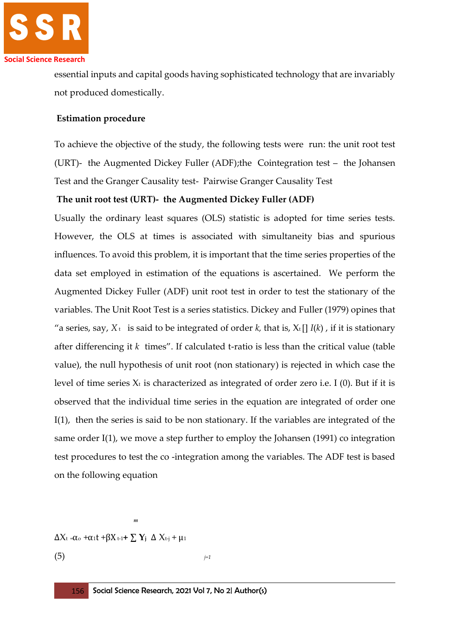

essential inputs and capital goods having sophisticated technology that are invariably not produced domestically.

## **Estimation procedure**

To achieve the objective of the study, the following tests were run: the unit root test (URT)- the Augmented Dickey Fuller (ADF);the Cointegration test – the Johansen Test and the Granger Causality test- Pairwise Granger Causality Test

# **The unit root test (URT)- the Augmented Dickey Fuller (ADF)**

Usually the ordinary least squares (OLS) statistic is adopted for time series tests. However, the OLS at times is associated with simultaneity bias and spurious influences. To avoid this problem, it is important that the time series properties of the data set employed in estimation of the equations is ascertained. We perform the Augmented Dickey Fuller (ADF) unit root test in order to test the stationary of the variables. The Unit Root Test is a series statistics. Dickey and Fuller (1979) opines that "a series, say,  $X_t$  is said to be integrated of order k, that is,  $X_t$  []  $I(k)$ , if it is stationary after differencing it *k* times". If calculated t-ratio is less than the critical value (table value), the null hypothesis of unit root (non stationary) is rejected in which case the level of time series  $X_t$  is characterized as integrated of order zero i.e. I (0). But if it is observed that the individual time series in the equation are integrated of order one I(1), then the series is said to be non stationary. If the variables are integrated of the same order I(1), we move a step further to employ the Johansen (1991) co integration test procedures to test the co -integration among the variables. The ADF test is based on the following equation

*<sup>m</sup>* ∆Xt =αo +α1t +βX t-1**+ ∑ Y<sup>j</sup>** ∆ Xt-j + μ<sup>1</sup>  $(5)$   $j=1$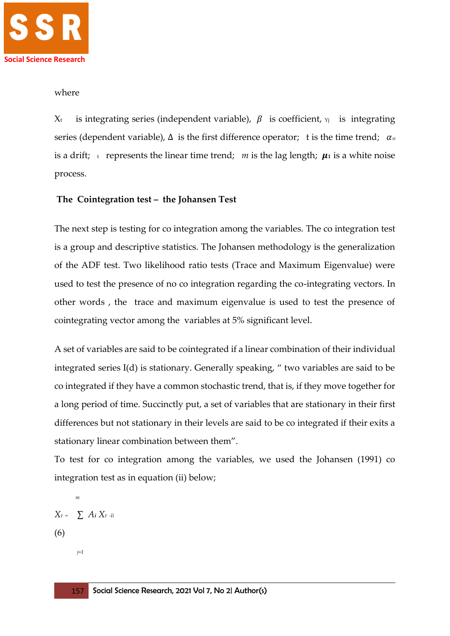

#### where

 $X_t$  is integrating series (independent variable),  $\beta$  is coefficient,  $Y_i$  is integrating series (dependent variable),  $\Delta$  is the first difference operator; t is the time trend;  $\alpha_{\rm o}$ is a drift;  $\epsilon$  represents the linear time trend; *m* is the lag length;  $\mu_1$  is a white noise process.

# **The Cointegration test – the Johansen Test**

The next step is testing for co integration among the variables. The co integration test is a group and descriptive statistics. The Johansen methodology is the generalization of the ADF test. Two likelihood ratio tests (Trace and Maximum Eigenvalue) were used to test the presence of no co integration regarding the co-integrating vectors. In other words , the trace and maximum eigenvalue is used to test the presence of cointegrating vector among the variables at 5% significant level.

A set of variables are said to be cointegrated if a linear combination of their individual integrated series I(d) is stationary. Generally speaking, " two variables are said to be co integrated if they have a common stochastic trend, that is, if they move together for a long period of time. Succinctly put, a set of variables that are stationary in their first differences but not stationary in their levels are said to be co integrated if their exits a stationary linear combination between them".

To test for co integration among the variables, we used the Johansen (1991) co integration test as in equation (ii) below;

 $X_t = \sum A_i X_t$  *-Ii* (6)

*m* 

*j=1*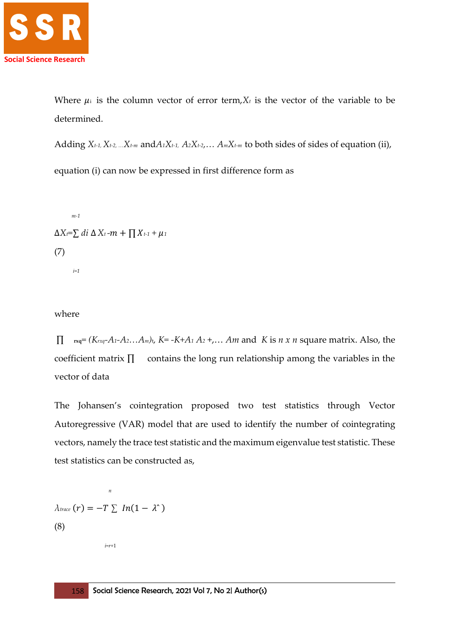

Where  $\mu_i$  is the column vector of error term,  $X_t$  is the vector of the variable to be determined.

Adding  $X_{t-1}$ ,  $X_{t-2}$ , ... $X_{t-m}$  and  $A_1X_{t-1}$ ,  $A_2X_{t-2}$ ,...  $A_mX_{t-m}$  to both sides of sides of equation (ii), equation (i) can now be expressed in first difference form as

 *m-1*   $\Delta X_t = \sum d_i \Delta X_t$  *−m* +  $\prod X_{t-1}$  +  $\mu_1$ (7) *i=1*

where

 $Π$  *rxq*<sup> $=$ </sup> (K*rxq*<sup> $-$ A<sub>1</sub></sub> $-$ A<sub>2</sub> $\ldots$ A<sub>*m*</sub>)<sub>t</sub>, K=  $-K+$ A<sub>1</sub> $A_2$  $+$ ,… Am and K is *n x n* square matrix. Also, the</sup> coefficient matrix ∏ contains the long run relationship among the variables in the vector of data

The Johansen's cointegration proposed two test statistics through Vector Autoregressive (VAR) model that are used to identify the number of cointegrating vectors, namely the trace test statistic and the maximum eigenvalue test statistic. These test statistics can be constructed as,

 $\lambda$ *trace*  $(r) = -T \sum ln(1 - \lambda^2)$ (8)

*n n n* 

 *i=r+*1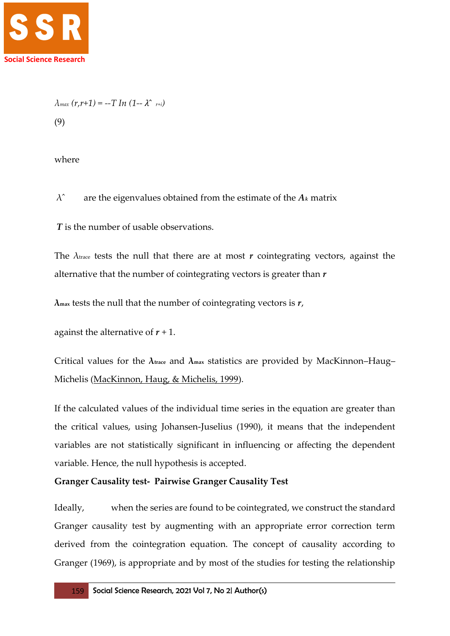

$$
\lambda_{max}(r,r+1) = -T \ln (1 - \lambda^2 r+1)
$$
  
(9)

where

λˆ are the eigenvalues obtained from the estimate of the *A<sup>k</sup>* matrix

*T* is the number of usable observations.

The  $\lambda$ <sub>trace</sub> tests the null that there are at most *r* cointegrating vectors, against the alternative that the number of cointegrating vectors is greater than *r*

**λmax** tests the null that the number of cointegrating vectors is *r*,

against the alternative of  $r + 1$ .

Critical values for the **λtrace** and **λmax** statistics are provided by MacKinnon–Haug– Michelis [\(MacKinnon, Haug, & Michelis, 1999\)](file:///C:/Users/HILARY%20U.%20ONYENDI/Desktop/New%20folder/On%20the%20Temporal%20Causal%20Relationship%20Between%20Macroeconomic%20Variables%20_%20SAGE%20Open.htm%23ref-17).

If the calculated values of the individual time series in the equation are greater than the critical values, using Johansen-Juselius (1990), it means that the independent variables are not statistically significant in influencing or affecting the dependent variable. Hence, the null hypothesis is accepted.

## **Granger Causality test- Pairwise Granger Causality Test**

Ideally, when the series are found to be cointegrated, we construct the standard Granger causality test by augmenting with an appropriate error correction term derived from the cointegration equation. The concept of causality according to Granger (1969), is appropriate and by most of the studies for testing the relationship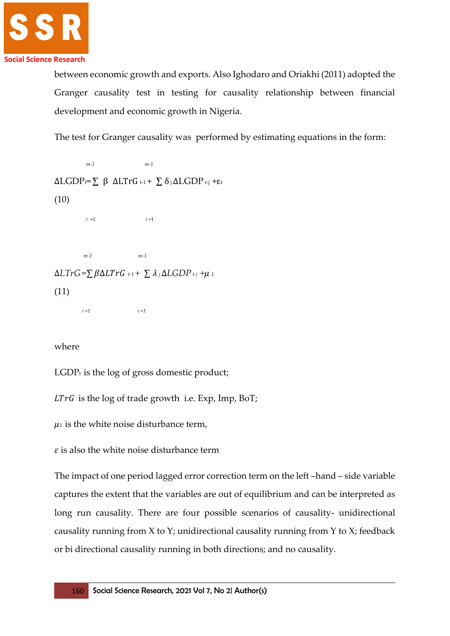

between economic growth and exports. Also Ighodaro and Oriakhi (2011) adopted the Granger causality test in testing for causality relationship between financial development and economic growth in Nigeria.

The test for Granger causality was performed by estimating equations in the form:

```
 m-1 m-1 
ΔLGDP<sub>t</sub>=<math>\sum</math> β ΔLTrG<sub>t-1</sub> + <math>\sum</math> δ<sub>i</sub>ΔLGDP<sub>t-j</sub> +ε<sub>t</sub>(10)
 i =1 i =1
 m-1 m-1 
\Delta L Tr G = \sum \beta \Delta L Tr G<sub>t-1</sub> + \sum \lambda_i \Delta L GDP<sub>t-j</sub> +\mu_1</sub>
(11)
           i =1 i =1
```
where

 $LGDP<sub>t</sub>$  is the log of gross domestic product;

 $LTrG$  is the log of trade growth i.e. Exp, Imp, BoT;

 $\mu_1$  is the white noise disturbance term,

 $\varepsilon$  is also the white noise disturbance term

The impact of one period lagged error correction term on the left –hand – side variable captures the extent that the variables are out of equilibrium and can be interpreted as long run causality. There are four possible scenarios of causality- unidirectional causality running from  $X$  to  $Y$ ; unidirectional causality running from  $Y$  to  $X$ ; feedback or bi directional causality running in both directions; and no causality.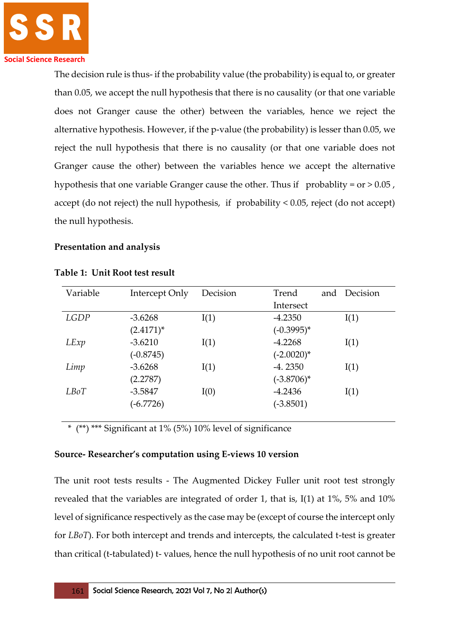The decision rule is thus- if the probability value (the probability) is equal to, or greater than 0.05, we accept the null hypothesis that there is no causality (or that one variable does not Granger cause the other) between the variables, hence we reject the alternative hypothesis. However, if the p-value (the probability) is lesser than 0.05, we reject the null hypothesis that there is no causality (or that one variable does not Granger cause the other) between the variables hence we accept the alternative hypothesis that one variable Granger cause the other. Thus if probablity =  $or > 0.05$ , accept (do not reject) the null hypothesis, if probability < 0.05, reject (do not accept) the null hypothesis.

# **Presentation and analysis**

| Variable | Intercept Only | Decision | Trend         | and | Decision |
|----------|----------------|----------|---------------|-----|----------|
|          |                |          | Intersect     |     |          |
| LGDP     | $-3.6268$      | I(1)     | $-4.2350$     |     | I(1)     |
|          | $(2.4171)^*$   |          | $(-0.3995)^*$ |     |          |
| LExp     | $-3.6210$      | I(1)     | $-4.2268$     |     | I(1)     |
|          | $(-0.8745)$    |          | $(-2.0020)^*$ |     |          |
| Limp     | $-3.6268$      | I(1)     | $-4.2350$     |     | I(1)     |
|          | (2.2787)       |          | $(-3.8706)^*$ |     |          |
| LB0T     | $-3.5847$      | I(0)     | $-4.2436$     |     | I(1)     |
|          | $(-6.7726)$    |          | $(-3.8501)$   |     |          |
|          |                |          |               |     |          |

#### **Table 1: Unit Root test result**

\* (\*\*) \*\*\* Significant at 1% (5%) 10% level of significance

## **Source- Researcher's computation using E-views 10 version**

The unit root tests results - The Augmented Dickey Fuller unit root test strongly revealed that the variables are integrated of order 1, that is, I(1) at 1%, 5% and 10% level of significance respectively as the case may be (except of course the intercept only for *LBoT*). For both intercept and trends and intercepts, the calculated t-test is greater than critical (t-tabulated) t- values, hence the null hypothesis of no unit root cannot be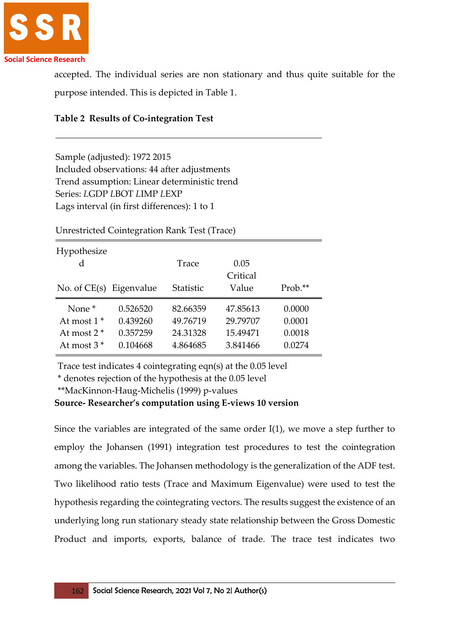

accepted. The individual series are non stationary and thus quite suitable for the purpose intended. This is depicted in Table 1.

|  |  | <b>Table 2 Results of Co-integration Test</b> |  |
|--|--|-----------------------------------------------|--|
|--|--|-----------------------------------------------|--|

Sample (adjusted): 1972 2015 Included observations: 44 after adjustments Trend assumption: Linear deterministic trend Series: *L*GDP *L*BOT *L*IMP *L*EXP Lags interval (in first differences): 1 to 1

Hypothesize d Trace 0.05 No. of CE(s) Eigenvalue Statistic **Critical** Value Prob.\*\* None \* 0.526520 82.66359 47.85613 0.0000 At most 1 \* 0.439260 49.76719 29.79707 0.0001 At most 2 \* 0.357259 24.31328 15.49471 0.0018 At most 3 \* 0.104668 4.864685 3.841466 0.0274

Unrestricted Cointegration Rank Test (Trace)

Trace test indicates 4 cointegrating eqn(s) at the 0.05 level

\* denotes rejection of the hypothesis at the 0.05 level

\*\*MacKinnon-Haug-Michelis (1999) p-values

**Source- Researcher's computation using E-views 10 version**

Since the variables are integrated of the same order I(1), we move a step further to employ the Johansen (1991) integration test procedures to test the cointegration among the variables. The Johansen methodology is the generalization of the ADF test. Two likelihood ratio tests (Trace and Maximum Eigenvalue) were used to test the hypothesis regarding the cointegrating vectors. The results suggest the existence of an underlying long run stationary steady state relationship between the Gross Domestic Product and imports, exports, balance of trade. The trace test indicates two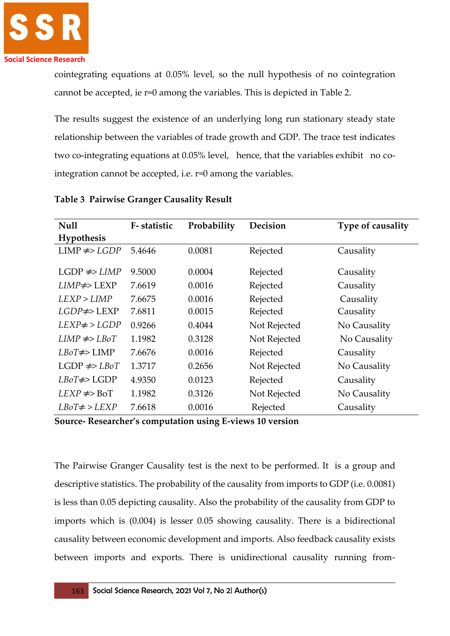

cointegrating equations at 0.05% level, so the null hypothesis of no cointegration cannot be accepted, ie r=0 among the variables. This is depicted in Table 2.

The results suggest the existence of an underlying long run stationary steady state relationship between the variables of trade growth and GDP. The trace test indicates two co-integrating equations at 0.05% level, hence, that the variables exhibit no cointegration cannot be accepted, i.e. r=0 among the variables.

| <b>Null</b>           | F-statistic | Probability | Decision     | Type of causality |
|-----------------------|-------------|-------------|--------------|-------------------|
| Hypothesis            |             |             |              |                   |
| $LIMP \neq LGDP$      | 5.4646      | 0.0081      | Rejected     | Causality         |
|                       |             |             |              |                   |
| $LGDP \neq>LIMP$      | 9.5000      | 0.0004      | Rejected     | Causality         |
| $LIMP \neq$ > $LEXP$  | 7.6619      | 0.0016      | Rejected     | Causality         |
| LEXP > LIMP           | 7.6675      | 0.0016      | Rejected     | Causality         |
| $LGDP \neq \geq LEXP$ | 7.6811      | 0.0015      | Rejected     | Causality         |
| $LEXP\neq$ > $LGDP$   | 0.9266      | 0.4044      | Not Rejected | No Causality      |
| $LIMP \neq > LBoT$    | 1.1982      | 0.3128      | Not Rejected | No Causality      |
| $LBoT \neq D LIMP$    | 7.6676      | 0.0016      | Rejected     | Causality         |
| $LGDP \neq LBoT$      | 1.3717      | 0.2656      | Not Rejected | No Causality      |
| $LBoT \neq DLOP$      | 4.9350      | 0.0123      | Rejected     | Causality         |
| $LEXP \neq BoT$       | 1.1982      | 0.3126      | Not Rejected | No Causality      |
| $LBoT \neq$ > $LEXP$  | 7.6618      | 0.0016      | Rejected     | Causality         |

**Table 3 Pairwise Granger Causality Result**

**Source- Researcher's computation using E-views 10 version**

The Pairwise Granger Causality test is the next to be performed. It is a group and descriptive statistics. The probability of the causality from imports to GDP (i.e. 0.0081) is less than 0.05 depicting causality. Also the probability of the causality from GDP to imports which is (0.004) is lesser 0.05 showing causality. There is a bidirectional causality between economic development and imports. Also feedback causality exists between imports and exports. There is unidirectional causality running from-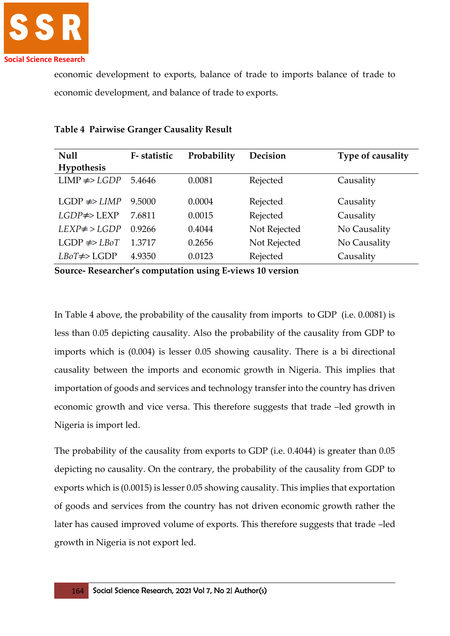

economic development to exports, balance of trade to imports balance of trade to economic development, and balance of trade to exports.

| <b>Null</b>         | F-statistic | Probability | Decision     | Type of causality |
|---------------------|-------------|-------------|--------------|-------------------|
| Hypothesis          |             |             |              |                   |
| $LIMP \neq LGDP$    | 5.4646      | 0.0081      | Rejected     | Causality         |
| $LGDP \neq LIMP$    | 9.5000      | 0.0004      | Rejected     | Causality         |
| $LGDP \neq > LEXP$  | 7.6811      | 0.0015      | Rejected     | Causality         |
| $LEXP\neq$ > $LGDP$ | 0.9266      | 0.4044      | Not Rejected | No Causality      |
| $LGDP \neq LBoT$    | 1.3717      | 0.2656      | Not Rejected | No Causality      |
| $LBoT \neq DLOP$    | 4.9350      | 0.0123      | Rejected     | Causality         |

## **Table 4 Pairwise Granger Causality Result**

**Source- Researcher's computation using E-views 10 version**

In Table 4 above, the probability of the causality from imports to GDP (i.e. 0.0081) is less than 0.05 depicting causality. Also the probability of the causality from GDP to imports which is (0.004) is lesser 0.05 showing causality. There is a bi directional causality between the imports and economic growth in Nigeria. This implies that importation of goods and services and technology transfer into the country has driven economic growth and vice versa. This therefore suggests that trade –led growth in Nigeria is import led.

The probability of the causality from exports to GDP (i.e. 0.4044) is greater than 0.05 depicting no causality. On the contrary, the probability of the causality from GDP to exports which is (0.0015) is lesser 0.05 showing causality. This implies that exportation of goods and services from the country has not driven economic growth rather the later has caused improved volume of exports. This therefore suggests that trade –led growth in Nigeria is not export led.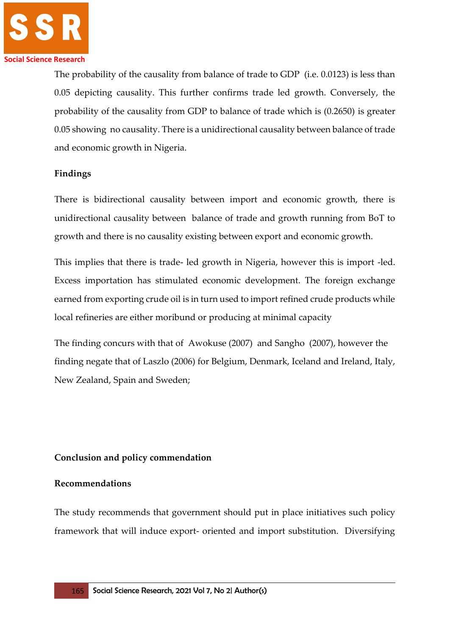

The probability of the causality from balance of trade to GDP (i.e. 0.0123) is less than 0.05 depicting causality. This further confirms trade led growth. Conversely, the probability of the causality from GDP to balance of trade which is (0.2650) is greater 0.05 showing no causality. There is a unidirectional causality between balance of trade and economic growth in Nigeria.

## **Findings**

There is bidirectional causality between import and economic growth, there is unidirectional causality between balance of trade and growth running from BoT to growth and there is no causality existing between export and economic growth.

This implies that there is trade- led growth in Nigeria, however this is import -led. Excess importation has stimulated economic development. The foreign exchange earned from exporting crude oil is in turn used to import refined crude products while local refineries are either moribund or producing at minimal capacity

The finding concurs with that of Awokuse (2007) and Sangho (2007), however the finding negate that of Laszlo (2006) for Belgium, Denmark, Iceland and Ireland, Italy, New Zealand, Spain and Sweden;

## **Conclusion and policy commendation**

## **Recommendations**

The study recommends that government should put in place initiatives such policy framework that will induce export- oriented and import substitution. Diversifying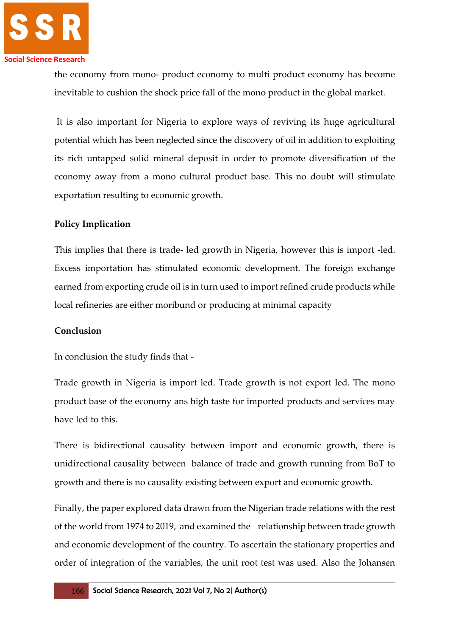

the economy from mono- product economy to multi product economy has become inevitable to cushion the shock price fall of the mono product in the global market.

It is also important for Nigeria to explore ways of reviving its huge agricultural potential which has been neglected since the discovery of oil in addition to exploiting its rich untapped solid mineral deposit in order to promote diversification of the economy away from a mono cultural product base. This no doubt will stimulate exportation resulting to economic growth.

# **Policy Implication**

This implies that there is trade- led growth in Nigeria, however this is import -led. Excess importation has stimulated economic development. The foreign exchange earned from exporting crude oil is in turn used to import refined crude products while local refineries are either moribund or producing at minimal capacity

## **Conclusion**

In conclusion the study finds that -

Trade growth in Nigeria is import led. Trade growth is not export led. The mono product base of the economy ans high taste for imported products and services may have led to this.

There is bidirectional causality between import and economic growth, there is unidirectional causality between balance of trade and growth running from BoT to growth and there is no causality existing between export and economic growth.

Finally, the paper explored data drawn from the Nigerian trade relations with the rest of the world from 1974 to 2019, and examined the relationship between trade growth and economic development of the country. To ascertain the stationary properties and order of integration of the variables, the unit root test was used. Also the Johansen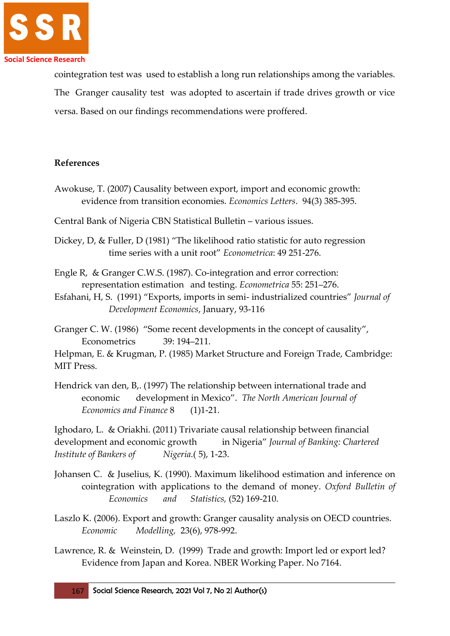

cointegration test was used to establish a long run relationships among the variables. The Granger causality test was adopted to ascertain if trade drives growth or vice versa. Based on our findings recommendations were proffered.

## **References**

Awokuse, T. (2007) Causality between export, import and economic growth: evidence from transition economies. *Economics Letters*. 94(3) 385-395.

Central Bank of Nigeria CBN Statistical Bulletin – various issues.

Dickey, D, & Fuller, D (1981) "The likelihood ratio statistic for auto regression time series with a unit root" *Econometrica*: 49 251-276.

Engle R, & Granger C.W.S. (1987). Co-integration and error correction: representation estimation and testing. *Econometrica* 55: 251–276.

Esfahani, H, S. (1991) "Exports, imports in semi- industrialized countries" *Journal of Development Economics*, January, 93-116

Granger C. W. (1986) "Some recent developments in the concept of causality", Econometrics 39: 194–211.

Helpman, E. & Krugman, P. (1985) Market Structure and Foreign Trade, Cambridge: MIT Press.

Hendrick van den, B,. (1997) The relationship between international trade and economic development in Mexico". *The North American Journal of Economics and Finance* 8 (1)1-21.

Ighodaro, L. & Oriakhi. (2011) Trivariate causal relationship between financial development and economic growth in Nigeria" *Journal of Banking: Chartered Institute of Bankers of Nigeria*.( 5), 1-23.

- Johansen C. & Juselius, K. (1990). Maximum likelihood estimation and inference on cointegration with applications to the demand of money. *Oxford Bulletin of Economics and Statistics,* (52) 169-210.
- Laszlo K. (2006). Export and growth: Granger causality analysis on OECD countries. *Economic Modelling,* 23(6), 978-992.
- Lawrence, R. & Weinstein, D. (1999) Trade and growth: Import led or export led? Evidence from Japan and Korea. NBER Working Paper. No 7164.